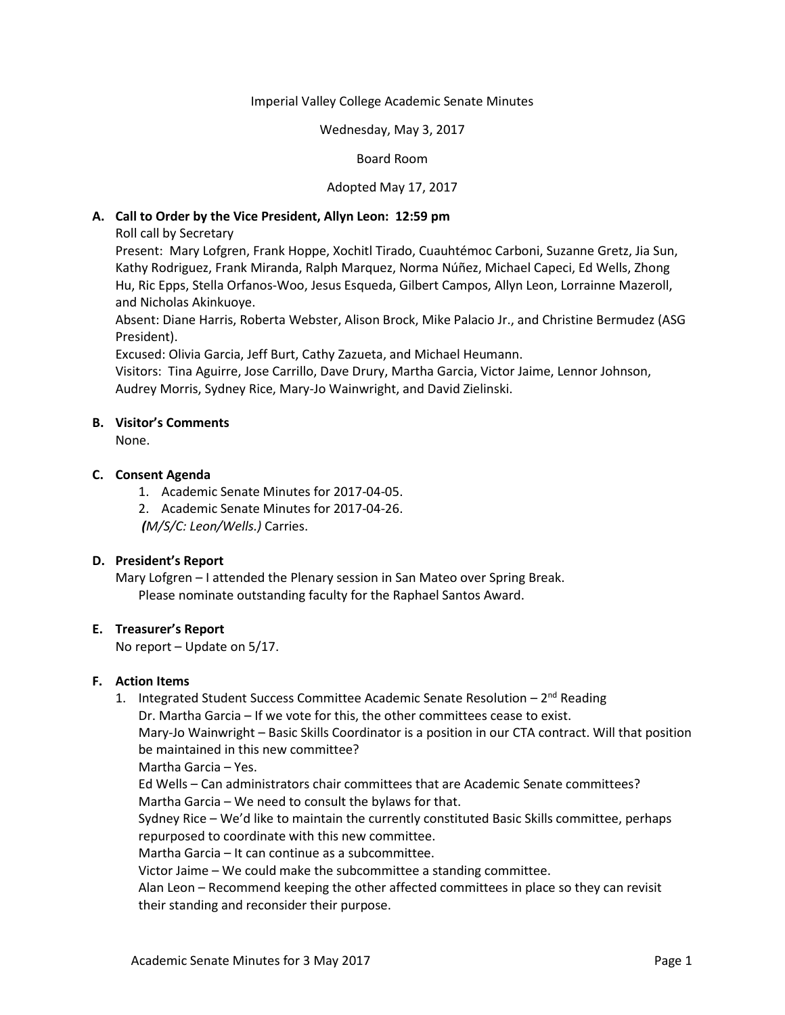#### Imperial Valley College Academic Senate Minutes

#### Wednesday, May 3, 2017

## Board Room

### Adopted May 17, 2017

### **A. Call to Order by the Vice President, Allyn Leon: 12:59 pm**

Roll call by Secretary

Present: Mary Lofgren, Frank Hoppe, Xochitl Tirado, Cuauhtémoc Carboni, Suzanne Gretz, Jia Sun, Kathy Rodriguez, Frank Miranda, Ralph Marquez, Norma Núñez, Michael Capeci, Ed Wells, Zhong Hu, Ric Epps, Stella Orfanos-Woo, Jesus Esqueda, Gilbert Campos, Allyn Leon, Lorrainne Mazeroll, and Nicholas Akinkuoye.

Absent: Diane Harris, Roberta Webster, Alison Brock, Mike Palacio Jr., and Christine Bermudez (ASG President).

Excused: Olivia Garcia, Jeff Burt, Cathy Zazueta, and Michael Heumann.

Visitors: Tina Aguirre, Jose Carrillo, Dave Drury, Martha Garcia, Victor Jaime, Lennor Johnson, Audrey Morris, Sydney Rice, Mary-Jo Wainwright, and David Zielinski.

#### **B. Visitor's Comments**

None.

#### **C. Consent Agenda**

- 1. Academic Senate Minutes for 2017-04-05.
- 2. Academic Senate Minutes for 2017-04-26.

*(M/S/C: Leon/Wells.)* Carries.

## **D. President's Report**

Mary Lofgren – I attended the Plenary session in San Mateo over Spring Break. Please nominate outstanding faculty for the Raphael Santos Award.

#### **E. Treasurer's Report**

No report – Update on 5/17.

## **F. Action Items**

1. Integrated Student Success Committee Academic Senate Resolution - 2<sup>nd</sup> Reading

Dr. Martha Garcia – If we vote for this, the other committees cease to exist.

Mary-Jo Wainwright – Basic Skills Coordinator is a position in our CTA contract. Will that position be maintained in this new committee?

Martha Garcia – Yes.

Ed Wells – Can administrators chair committees that are Academic Senate committees? Martha Garcia – We need to consult the bylaws for that.

Sydney Rice – We'd like to maintain the currently constituted Basic Skills committee, perhaps repurposed to coordinate with this new committee.

Martha Garcia – It can continue as a subcommittee.

Victor Jaime – We could make the subcommittee a standing committee.

Alan Leon – Recommend keeping the other affected committees in place so they can revisit their standing and reconsider their purpose.